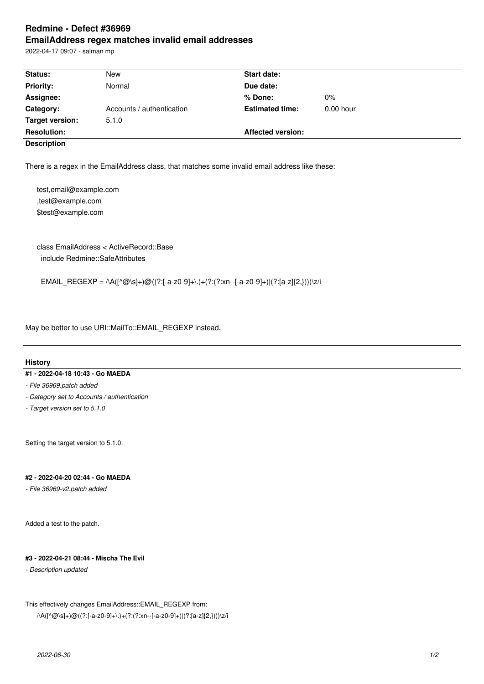# **Redmine - Defect #36969 EmailAddress regex matches invalid email addresses**

2022-04-17 09:07 - salman mp

| Status:                                                                                                                                                               | <b>New</b>                                              | <b>Start date:</b>       |             |  |
|-----------------------------------------------------------------------------------------------------------------------------------------------------------------------|---------------------------------------------------------|--------------------------|-------------|--|
| <b>Priority:</b>                                                                                                                                                      | Normal                                                  | Due date:                |             |  |
| Assignee:                                                                                                                                                             |                                                         | % Done:                  | 0%          |  |
| Category:                                                                                                                                                             | Accounts / authentication                               | <b>Estimated time:</b>   | $0.00$ hour |  |
| <b>Target version:</b>                                                                                                                                                | 5.1.0                                                   |                          |             |  |
| <b>Resolution:</b>                                                                                                                                                    |                                                         | <b>Affected version:</b> |             |  |
| <b>Description</b>                                                                                                                                                    |                                                         |                          |             |  |
| There is a regex in the EmailAddress class, that matches some invalid email address like these:<br>test, email@example.com<br>,test@example.com<br>\$test@example.com |                                                         |                          |             |  |
| include Redmine::SafeAttributes                                                                                                                                       | class EmailAddress < ActiveRecord::Base                 |                          |             |  |
| EMAIL_REGEXP = $\wedge$ A([ $\wedge$ @\s]+)@((?:[-a-z0-9]+\.)+(?:(?:xn--[-a-z0-9]+) (?:[a-z]{2,})))\z/i                                                               |                                                         |                          |             |  |
|                                                                                                                                                                       | May be better to use URI::MailTo::EMAIL_REGEXP instead. |                          |             |  |

## **History**

# **#1 - 2022-04-18 10:43 - Go MAEDA**

- *File 36969.patch added*
- *Category set to Accounts / authentication*
- *Target version set to 5.1.0*

Setting the target version to 5.1.0.

# **#2 - 2022-04-20 02:44 - Go MAEDA**

*- File 36969-v2.patch added*

Added a test to the patch.

#### **#3 - 2022-04-21 08:44 - Mischa The Evil**

*- Description updated*

#### This effectively changes EmailAddress::EMAIL\_REGEXP from:

 $\land {\sf A}([\land\textcircled{a}\backslash {\sf s}] +) \textcircled{a}((? \cdot [-{\sf a}\text{-}{\sf z}{\sf 0}\text{-}{\sf 9}] + \backslash.) + (? \cdot (? \cdot xn \cdot - [-{\sf a}\text{-}{\sf z}{\sf 0}\text{-}{\sf 9}] + ||(? \cdot [{\sf a}\text{-}{\sf z}] \{2, \}))) \backslash {\sf z}/i$